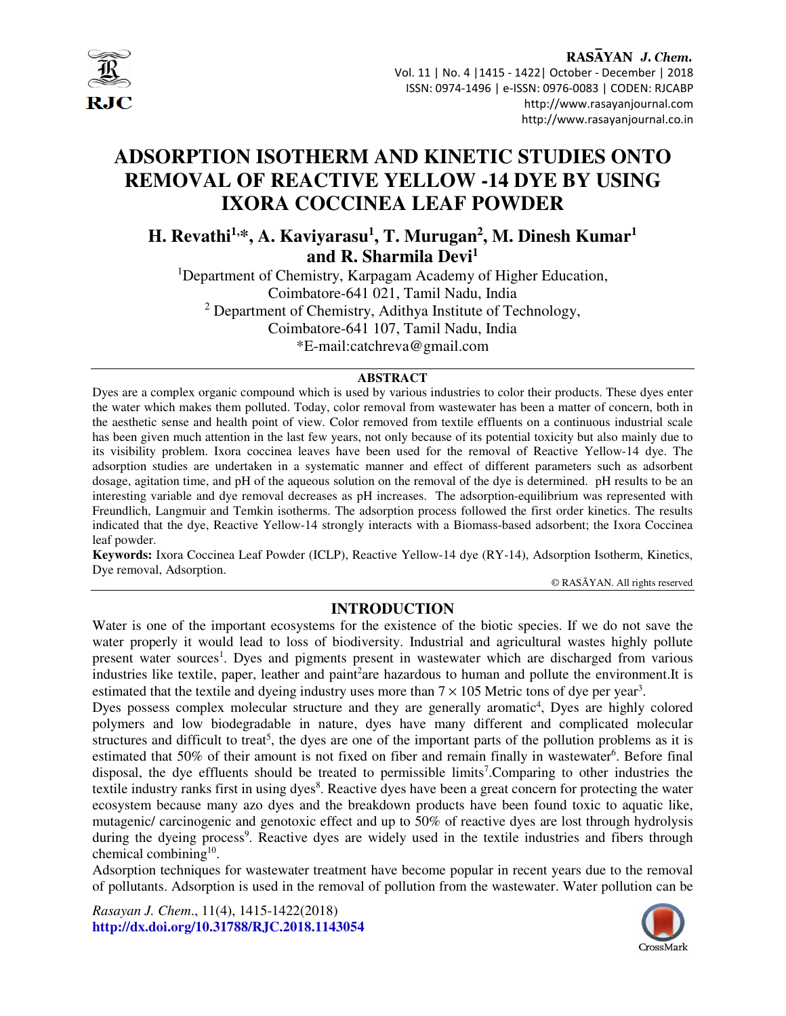

RASAYAN J. Chem. Vol. 11 | No. 4 |1415 - 1422| October - December | 2018 ISSN: 0974-1496 | e-ISSN: 0976-0083 | CODEN: RJCABP http://www.rasayanjournal.com http://www.rasayanjournal.co.in

## **ADSORPTION ISOTHERM AND KINETIC STUDIES ONTO REMOVAL OF REACTIVE YELLOW -14 DYE BY USING IXORA COCCINEA LEAF POWDER**

**H. Revathi1,\*, A. Kaviyarasu<sup>1</sup> , T. Murugan<sup>2</sup> , M. Dinesh Kumar<sup>1</sup> and R. Sharmila Devi<sup>1</sup>**

<sup>1</sup>Department of Chemistry, Karpagam Academy of Higher Education, Coimbatore-641 021, Tamil Nadu, India <sup>2</sup> Department of Chemistry, Adithya Institute of Technology, Coimbatore-641 107, Tamil Nadu, India \*E-mail:catchreva@gmail.com

#### **ABSTRACT**

Dyes are a complex organic compound which is used by various industries to color their products. These dyes enter the water which makes them polluted. Today, color removal from wastewater has been a matter of concern, both in the aesthetic sense and health point of view. Color removed from textile effluents on a continuous industrial scale has been given much attention in the last few years, not only because of its potential toxicity but also mainly due to its visibility problem. Ixora coccinea leaves have been used for the removal of Reactive Yellow-14 dye. The adsorption studies are undertaken in a systematic manner and effect of different parameters such as adsorbent dosage, agitation time, and pH of the aqueous solution on the removal of the dye is determined. pH results to be an interesting variable and dye removal decreases as pH increases. The adsorption-equilibrium was represented with Freundlich, Langmuir and Temkin isotherms. The adsorption process followed the first order kinetics. The results indicated that the dye, Reactive Yellow-14 strongly interacts with a Biomass-based adsorbent; the Ixora Coccinea leaf powder.

**Keywords:** Ixora Coccinea Leaf Powder (ICLP), Reactive Yellow-14 dye (RY-14), Adsorption Isotherm, Kinetics, Dye removal, Adsorption.

© RASĀYAN. All rights reserved

#### **INTRODUCTION**

Water is one of the important ecosystems for the existence of the biotic species. If we do not save the water properly it would lead to loss of biodiversity. Industrial and agricultural wastes highly pollute present water sources<sup>1</sup>. Dyes and pigments present in wastewater which are discharged from various industries like textile, paper, leather and paint<sup>2</sup>are hazardous to human and pollute the environment.It is estimated that the textile and dyeing industry uses more than  $7 \times 105$  Metric tons of dye per year<sup>3</sup>.

Dyes possess complex molecular structure and they are generally aromatic<sup>4</sup>, Dyes are highly colored polymers and low biodegradable in nature, dyes have many different and complicated molecular structures and difficult to treat<sup>5</sup>, the dyes are one of the important parts of the pollution problems as it is estimated that 50% of their amount is not fixed on fiber and remain finally in wastewater<sup>6</sup>. Before final disposal, the dye effluents should be treated to permissible limits<sup>7</sup>. Comparing to other industries the textile industry ranks first in using dyes<sup>8</sup>. Reactive dyes have been a great concern for protecting the water ecosystem because many azo dyes and the breakdown products have been found toxic to aquatic like, mutagenic/ carcinogenic and genotoxic effect and up to 50% of reactive dyes are lost through hydrolysis during the dyeing process<sup>9</sup>. Reactive dyes are widely used in the textile industries and fibers through chemical combining<sup>10</sup>.

Adsorption techniques for wastewater treatment have become popular in recent years due to the removal of pollutants. Adsorption is used in the removal of pollution from the wastewater. Water pollution can be

*Rasayan J. Chem*., 11(4), 1415-1422(2018) **http://dx.doi.org/10.31788/RJC.2018.1143054**

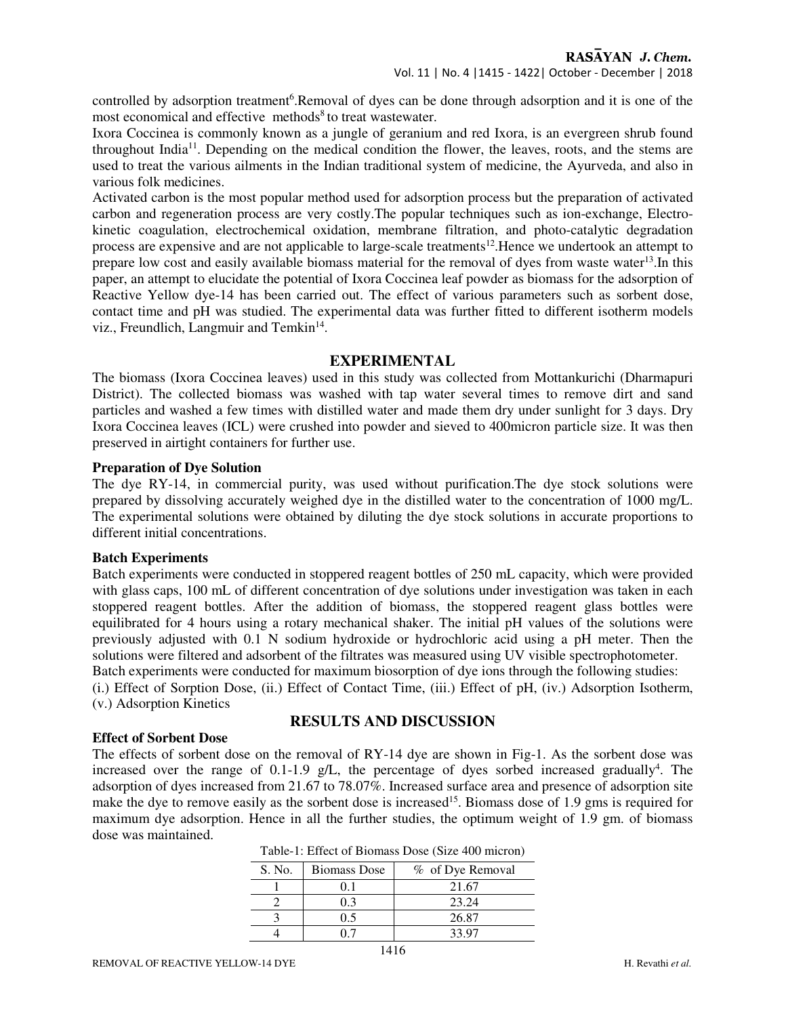controlled by adsorption treatment<sup>6</sup>.Removal of dyes can be done through adsorption and it is one of the most economical and effective methods<sup>8</sup> to treat wastewater.

Ixora Coccinea is commonly known as a jungle of geranium and red Ixora, is an evergreen shrub found throughout India<sup>11</sup>. Depending on the medical condition the flower, the leaves, roots, and the stems are used to treat the various ailments in the Indian traditional system of medicine, the Ayurveda, and also in various folk medicines.

Activated carbon is the most popular method used for adsorption process but the preparation of activated carbon and regeneration process are very costly.The popular techniques such as ion-exchange, Electrokinetic coagulation, electrochemical oxidation, membrane filtration, and photo-catalytic degradation process are expensive and are not applicable to large-scale treatments<sup>12</sup>. Hence we undertook an attempt to prepare low cost and easily available biomass material for the removal of dyes from waste water<sup>13</sup>. In this paper, an attempt to elucidate the potential of Ixora Coccinea leaf powder as biomass for the adsorption of Reactive Yellow dye-14 has been carried out. The effect of various parameters such as sorbent dose, contact time and pH was studied. The experimental data was further fitted to different isotherm models viz., Freundlich, Langmuir and Temkin<sup>14</sup>.

#### **EXPERIMENTAL**

The biomass (Ixora Coccinea leaves) used in this study was collected from Mottankurichi (Dharmapuri District). The collected biomass was washed with tap water several times to remove dirt and sand particles and washed a few times with distilled water and made them dry under sunlight for 3 days. Dry Ixora Coccinea leaves (ICL) were crushed into powder and sieved to 400micron particle size. It was then preserved in airtight containers for further use.

#### **Preparation of Dye Solution**

The dye RY-14, in commercial purity, was used without purification.The dye stock solutions were prepared by dissolving accurately weighed dye in the distilled water to the concentration of 1000 mg/L. The experimental solutions were obtained by diluting the dye stock solutions in accurate proportions to different initial concentrations.

#### **Batch Experiments**

Batch experiments were conducted in stoppered reagent bottles of 250 mL capacity, which were provided with glass caps, 100 mL of different concentration of dye solutions under investigation was taken in each stoppered reagent bottles. After the addition of biomass, the stoppered reagent glass bottles were equilibrated for 4 hours using a rotary mechanical shaker. The initial pH values of the solutions were previously adjusted with 0.1 N sodium hydroxide or hydrochloric acid using a pH meter. Then the solutions were filtered and adsorbent of the filtrates was measured using UV visible spectrophotometer. Batch experiments were conducted for maximum biosorption of dye ions through the following studies:

(i.) Effect of Sorption Dose, (ii.) Effect of Contact Time, (iii.) Effect of pH, (iv.) Adsorption Isotherm, (v.) Adsorption Kinetics

### **Effect of Sorbent Dose**

# **RESULTS AND DISCUSSION**

The effects of sorbent dose on the removal of RY-14 dye are shown in Fig-1. As the sorbent dose was increased over the range of  $0.1$ -1.9 g/L, the percentage of dyes sorbed increased gradually<sup>4</sup>. The adsorption of dyes increased from 21.67 to 78.07%. Increased surface area and presence of adsorption site make the dye to remove easily as the sorbent dose is increased<sup>15</sup>. Biomass dose of 1.9 gms is required for maximum dye adsorption. Hence in all the further studies, the optimum weight of 1.9 gm. of biomass dose was maintained.

| S. No. | <b>Biomass Dose</b> | % of Dye Removal |
|--------|---------------------|------------------|
|        |                     | 21.67            |
|        | $0.3 -$             | 23.24            |
|        | 05                  | 26.87            |
|        |                     | 33.97            |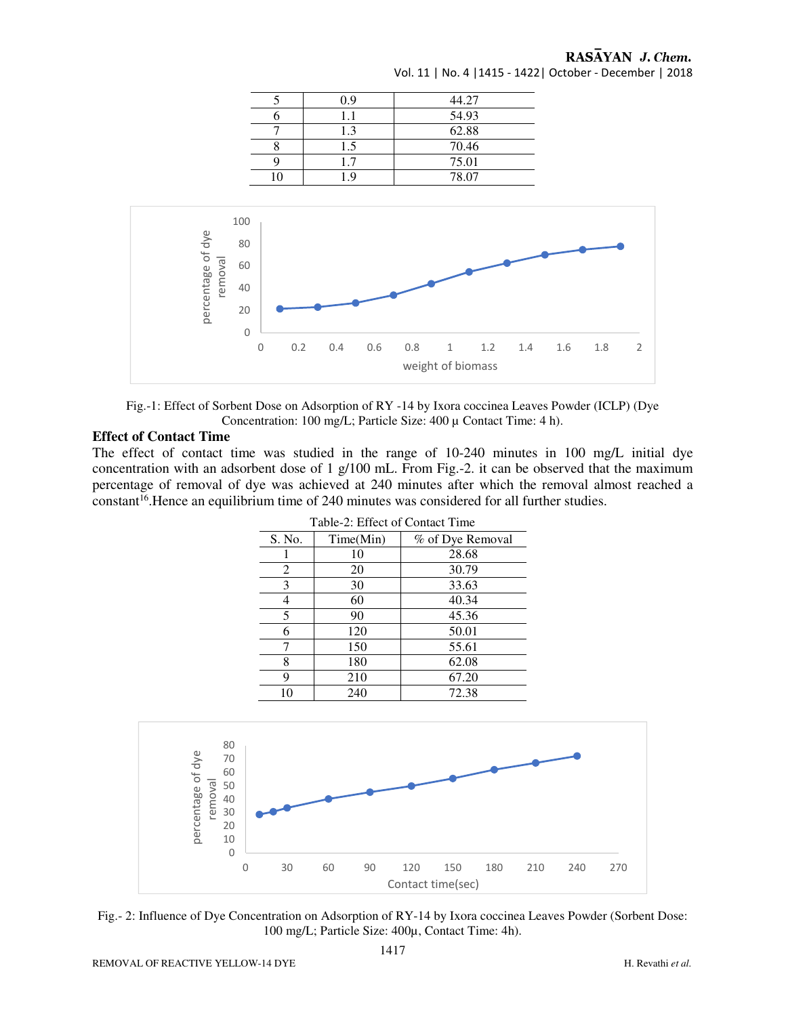#### RASAYAN J. Chem.

| 0.9 | 44.27 |
|-----|-------|
| 11  | 54.93 |
| 1.3 | 62.88 |
| 1.5 | 70.46 |
| 17  | 75.01 |
|     | 78.07 |

Vol. 11 | No. 4 |1415 - 1422| October - December | 2018





#### **Effect of Contact Time**

The effect of contact time was studied in the range of 10-240 minutes in 100 mg/L initial dye concentration with an adsorbent dose of  $1 \text{ g}/100 \text{ mL}$ . From Fig.-2. it can be observed that the maximum percentage of removal of dye was achieved at 240 minutes after which the removal almost reached a  $constant^{16}$ . Hence an equilibrium time of 240 minutes was considered for all further studies.

| Table-2: Effect of Contact Time |           |                  |  |  |
|---------------------------------|-----------|------------------|--|--|
| S. No.                          | Time(Min) | % of Dye Removal |  |  |
|                                 | 10        | 28.68            |  |  |
| 2                               | 20        | 30.79            |  |  |
| 3                               | 30        | 33.63            |  |  |
|                                 | 60        | 40.34            |  |  |
| 5                               | 90        | 45.36            |  |  |
| 6                               | 120       | 50.01            |  |  |
|                                 | 150       | 55.61            |  |  |
| 8                               | 180       | 62.08            |  |  |
| 9                               | 210       | 67.20            |  |  |
| 10                              | 240       | 72.38            |  |  |





REMOVAL OF REACTIVE YELLOW-14 DYE H. Revathi *et al.*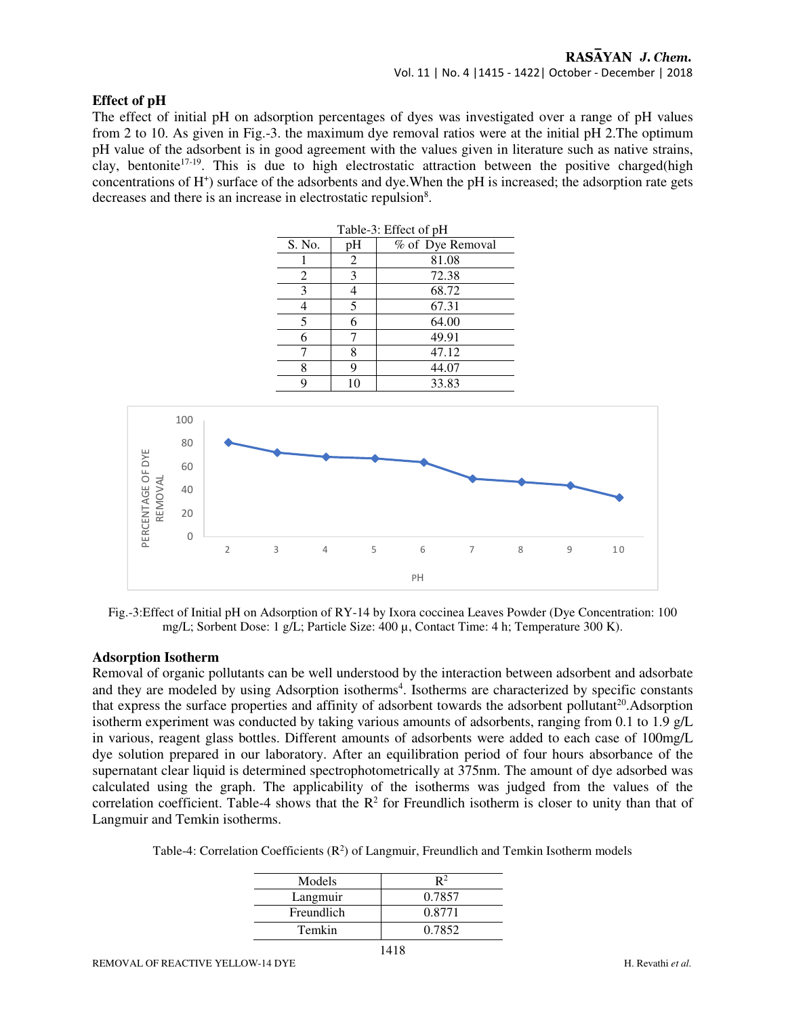#### **Effect of pH**

The effect of initial pH on adsorption percentages of dyes was investigated over a range of pH values from 2 to 10. As given in Fig.-3. the maximum dye removal ratios were at the initial pH 2.The optimum pH value of the adsorbent is in good agreement with the values given in literature such as native strains, clay, bentonite<sup>17-19</sup>. This is due to high electrostatic attraction between the positive charged(high concentrations of H<sup>+</sup>) surface of the adsorbents and dye. When the pH is increased; the adsorption rate gets decreases and there is an increase in electrostatic repulsion<sup>8</sup>.



Fig.-3:Effect of Initial pH on Adsorption of RY-14 by Ixora coccinea Leaves Powder (Dye Concentration: 100 mg/L; Sorbent Dose: 1 g/L; Particle Size: 400 µ, Contact Time: 4 h; Temperature 300 K).

#### **Adsorption Isotherm**

Removal of organic pollutants can be well understood by the interaction between adsorbent and adsorbate and they are modeled by using Adsorption isotherms<sup>4</sup>. Isotherms are characterized by specific constants that express the surface properties and affinity of adsorbent towards the adsorbent pollutant $^{20}$ . Adsorption isotherm experiment was conducted by taking various amounts of adsorbents, ranging from 0.1 to 1.9 g/L in various, reagent glass bottles. Different amounts of adsorbents were added to each case of 100mg/L dye solution prepared in our laboratory. After an equilibration period of four hours absorbance of the supernatant clear liquid is determined spectrophotometrically at 375nm. The amount of dye adsorbed was calculated using the graph. The applicability of the isotherms was judged from the values of the correlation coefficient. Table-4 shows that the  $\mathbb{R}^2$  for Freundlich isotherm is closer to unity than that of Langmuir and Temkin isotherms.

| Table-4: Correlation Coefficients $(R^2)$ of Langmuir, Freundlich and Temkin Isotherm models |  |  |  |  |
|----------------------------------------------------------------------------------------------|--|--|--|--|
|----------------------------------------------------------------------------------------------|--|--|--|--|

| Models     |        |
|------------|--------|
| Langmuir   | 0.7857 |
| Freundlich | 0.8771 |
| Temkin     | 0.7852 |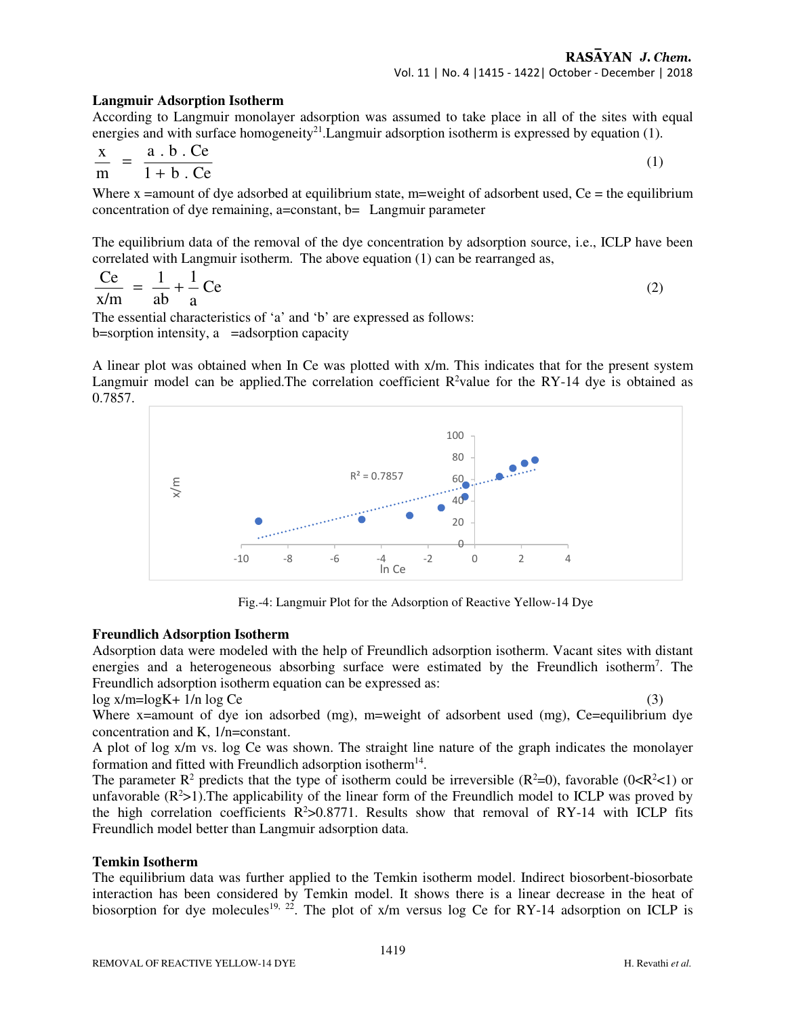#### **Langmuir Adsorption Isotherm**

According to Langmuir monolayer adsorption was assumed to take place in all of the sites with equal energies and with surface homogeneity<sup>21</sup>. Langmuir adsorption isotherm is expressed by equation (1).

$$
\frac{x}{m} = \frac{a \cdot b \cdot Ce}{1 + b \cdot Ce} \tag{1}
$$

Where  $x =$ amount of dye adsorbed at equilibrium state, m=weight of adsorbent used, Ce = the equilibrium concentration of dye remaining, a=constant, b= Langmuir parameter

The equilibrium data of the removal of the dye concentration by adsorption source, i.e., ICLP have been correlated with Langmuir isotherm. The above equation (1) can be rearranged as,

$$
\frac{\text{Ce}}{\text{x/m}} = \frac{1}{\text{ab}} + \frac{1}{\text{a}} \text{Ce}
$$
 (2)

The essential characteristics of 'a' and 'b' are expressed as follows:  $b=$ sorption intensity, a = adsorption capacity

A linear plot was obtained when In Ce was plotted with x/m. This indicates that for the present system Langmuir model can be applied. The correlation coefficient  $R^2$ value for the RY-14 dye is obtained as 0.7857.



Fig.-4: Langmuir Plot for the Adsorption of Reactive Yellow-14 Dye

#### **Freundlich Adsorption Isotherm**

Adsorption data were modeled with the help of Freundlich adsorption isotherm. Vacant sites with distant energies and a heterogeneous absorbing surface were estimated by the Freundlich isotherm<sup>7</sup>. The Freundlich adsorption isotherm equation can be expressed as:

 $log x/m = log K + 1/n log Ce$ 

Where x=amount of dye ion adsorbed (mg), m=weight of adsorbent used (mg), Ce=equilibrium dye concentration and K, 1/n=constant.

A plot of log x/m vs. log Ce was shown. The straight line nature of the graph indicates the monolayer formation and fitted with Freundlich adsorption isotherm<sup>14</sup>.

The parameter  $R^2$  predicts that the type of isotherm could be irreversible  $(R^2=0)$ , favorable  $(0 < R^2 < 1)$  or unfavorable  $(R^2>1)$ . The applicability of the linear form of the Freundlich model to ICLP was proved by the high correlation coefficients  $R^2 > 0.8771$ . Results show that removal of RY-14 with ICLP fits Freundlich model better than Langmuir adsorption data.

#### **Temkin Isotherm**

The equilibrium data was further applied to the Temkin isotherm model. Indirect biosorbent-biosorbate interaction has been considered by Temkin model. It shows there is a linear decrease in the heat of biosorption for dye molecules<sup>19, 22</sup>. The plot of  $x/m$  versus log Ce for RY-14 adsorption on ICLP is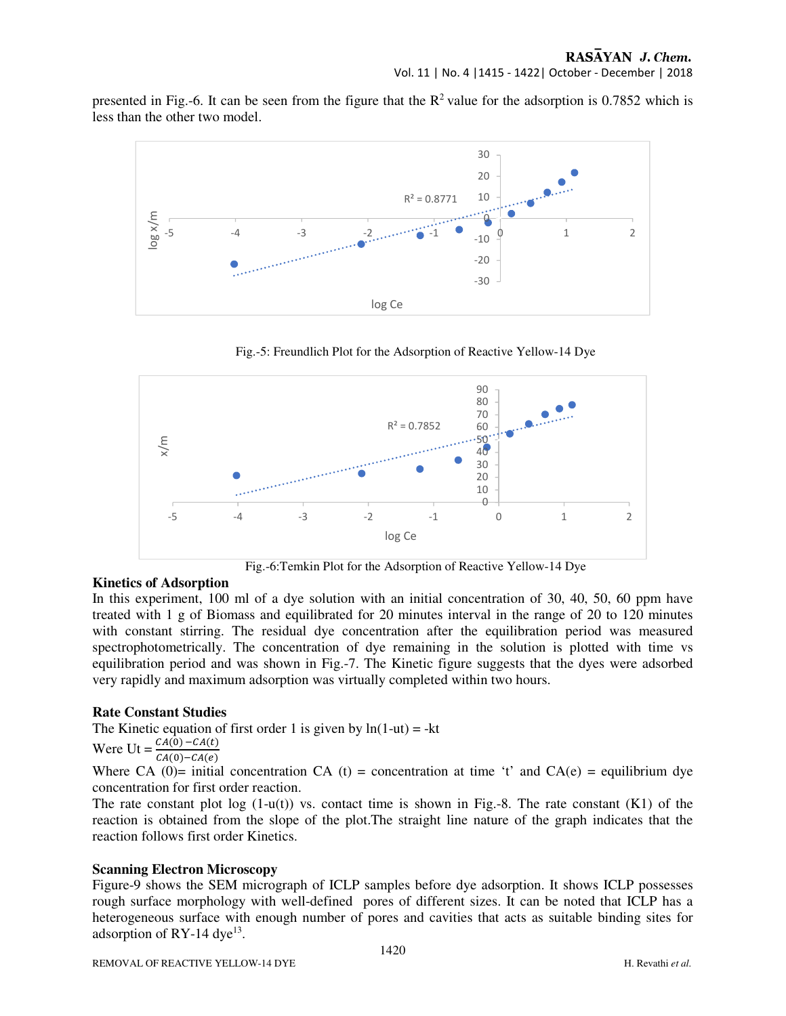presented in Fig.-6. It can be seen from the figure that the  $R^2$  value for the adsorption is 0.7852 which is less than the other two model.



Fig.-5: Freundlich Plot for the Adsorption of Reactive Yellow-14 Dye



Fig.-6:Temkin Plot for the Adsorption of Reactive Yellow-14 Dye

#### **Kinetics of Adsorption**

In this experiment, 100 ml of a dye solution with an initial concentration of 30, 40, 50, 60 ppm have treated with 1 g of Biomass and equilibrated for 20 minutes interval in the range of 20 to 120 minutes with constant stirring. The residual dye concentration after the equilibration period was measured spectrophotometrically. The concentration of dye remaining in the solution is plotted with time vs equilibration period and was shown in Fig.-7. The Kinetic figure suggests that the dyes were adsorbed very rapidly and maximum adsorption was virtually completed within two hours.

#### **Rate Constant Studies**

The Kinetic equation of first order 1 is given by  $ln(1-ut) = -kt$ 

Were  $Ut =$  $(0)$  –  $CA(t)$  $CA(0)-CA(e)$ 

Where CA (0)= initial concentration CA (t) = concentration at time 't' and CA(e) = equilibrium dye concentration for first order reaction.

The rate constant plot  $log(1-u(t))$  vs. contact time is shown in Fig.-8. The rate constant  $(K1)$  of the reaction is obtained from the slope of the plot.The straight line nature of the graph indicates that the reaction follows first order Kinetics.

#### **Scanning Electron Microscopy**

Figure-9 shows the SEM micrograph of ICLP samples before dye adsorption. It shows ICLP possesses rough surface morphology with well-defined pores of different sizes. It can be noted that ICLP has a heterogeneous surface with enough number of pores and cavities that acts as suitable binding sites for adsorption of RY-14 dye<sup>13</sup>.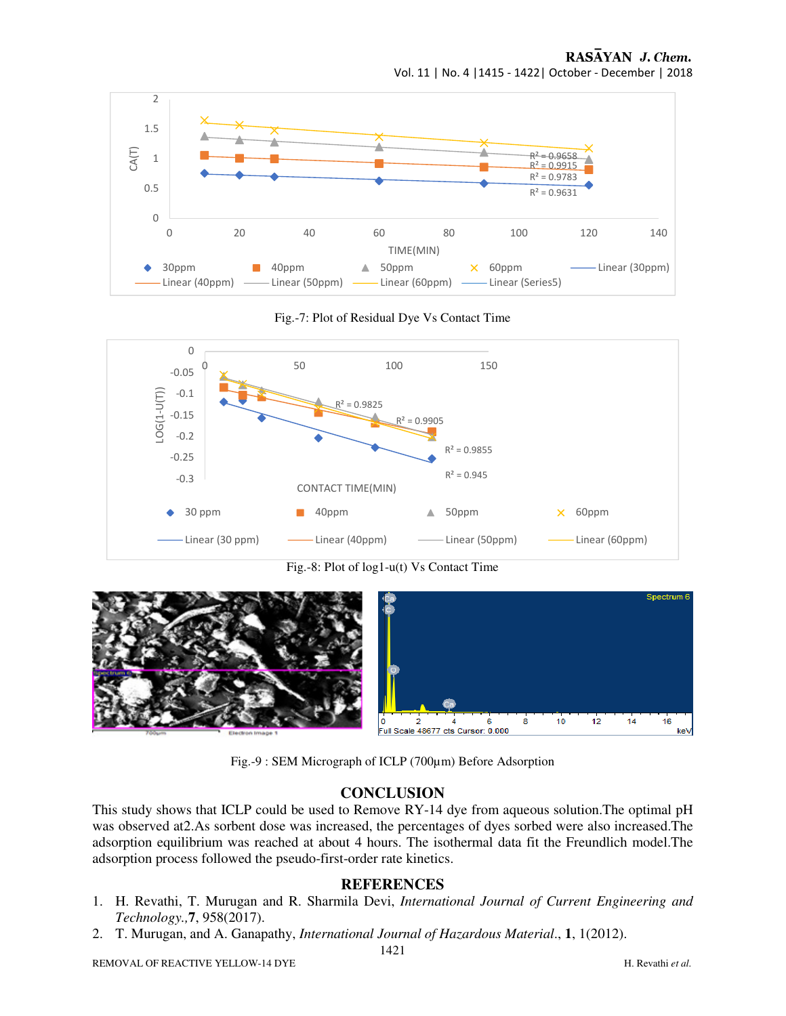

Fig.-7: Plot of Residual Dye Vs Contact Time



Fig.-8: Plot of log1-u(t) Vs Contact Time



Fig.-9 : SEM Micrograph of ICLP (700µm) Before Adsorption

#### **CONCLUSION**

This study shows that ICLP could be used to Remove RY-14 dye from aqueous solution.The optimal pH was observed at2.As sorbent dose was increased, the percentages of dyes sorbed were also increased.The adsorption equilibrium was reached at about 4 hours. The isothermal data fit the Freundlich model.The adsorption process followed the pseudo-first-order rate kinetics.

#### **REFERENCES**

- 1. H. Revathi, T. Murugan and R. Sharmila Devi, *International Journal of Current Engineering and Technology.,***7**, 958(2017).
- 2. T. Murugan, and A. Ganapathy, *International Journal of Hazardous Material*., **1**, 1(2012).